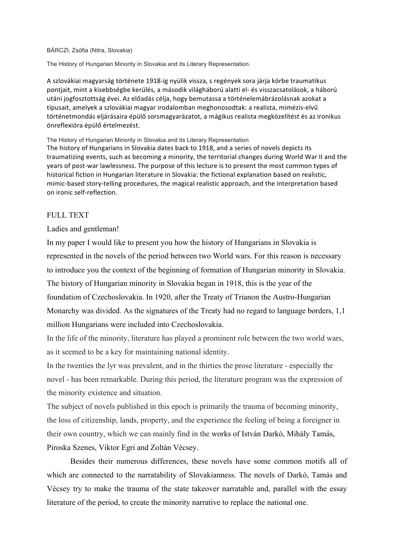## BÁRCZI, Zsófia (Nitra, Slovakia)

The History of Hungarian Minority in Slovakia and its Literary Representation.

A szlovákiai magyarság története 1918-ig nyúlik vissza, s regények sora járja körbe traumatikus pontjait, mint a kisebbségbe kerülés, a második világháború alatti el- és visszacsatolások, a háború utáni jogfosztottság évei. Az előadás célja, hogy bemutassa a történelemábrázolásnak azokat a típusait, amelyek a szlovákiai magyar irodalomban meghonosodtak: a realista, mimézis-elvű történetmondás eljárásaira épülő sorsmagyarázatot, a mágikus realista megközelítést és az ironikus önreflexióra épülő értelmezést.

The History of Hungarian Minority in Slovakia and its Literary Representation

The history of Hungarians in Slovakia dates back to 1918, and a series of novels depicts its traumatizing events, such as becoming a minority, the territorial changes during World War II and the years of post-war lawlessness. The purpose of this lecture is to present the most common types of historical fiction in Hungarian literature in Slovakia: the fictional explanation based on realistic. mimic-based story-telling procedures, the magical realistic approach, and the interpretation based on ironic self-reflection.

## FULL TEXT

## Ladies and gentleman!

In my paper I would like to present you how the history of Hungarians in Slovakia is represented in the novels of the period between two World wars. For this reason is necessary to introduce you the context of the beginning of formation of Hungarian minority in Slovakia. The history of Hungarian minority in Slovakia began in 1918, this is the year of the foundation of Czechoslovakia. In 1920, after the Treaty of Trianon the Austro-Hungarian Monarchy was divided. As the signatures of the Treaty had no regard to language borders, 1,1 million Hungarians were included into Czechoslovakia.

In the life of the minority, literature has played a prominent role between the two world wars, as it seemed to be a key for maintaining national identity.

In the twenties the lyr was prevalent, and in the thirties the prose literature - especially the novel - has been remarkable. During this period, the literature program was the expression of the minority existence and situation.

The subject of novels published in this epoch is primarily the trauma of becoming minority, the loss of citizenship, lands, property, and the experience the feeling of being a foreigner in their own country, which we can mainly find in the works of István Darkó, Mihály Tamás, Piroska Szenes, Viktor Egri and Zoltán Vécsey.

Besides their numerous differences, these novels have some common motifs all of which are connected to the narratability of Slovakianness. The novels of Darkó, Tamás and Vécsey try to make the trauma of the state takeover narratable and, parallel with the essay literature of the period, to create the minority narrative to replace the national one.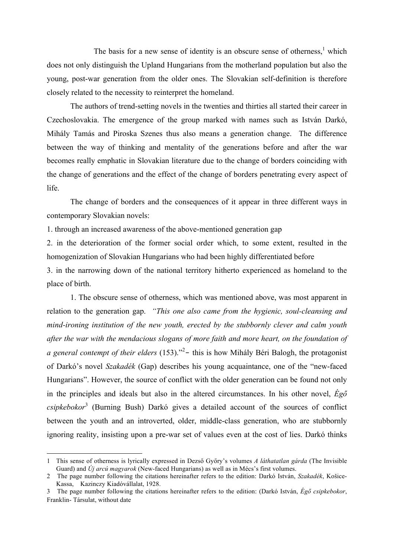The basis for a new sense of identity is an obscure sense of otherness, $<sup>1</sup>$  which</sup> does not only distinguish the Upland Hungarians from the motherland population but also the young, post-war generation from the older ones. The Slovakian self-definition is therefore closely related to the necessity to reinterpret the homeland.

The authors of trend-setting novels in the twenties and thirties all started their career in Czechoslovakia. The emergence of the group marked with names such as István Darkó, Mihály Tamás and Piroska Szenes thus also means a generation change. The difference between the way of thinking and mentality of the generations before and after the war becomes really emphatic in Slovakian literature due to the change of borders coinciding with the change of generations and the effect of the change of borders penetrating every aspect of life.

The change of borders and the consequences of it appear in three different ways in contemporary Slovakian novels:

1. through an increased awareness of the above-mentioned generation gap

2. in the deterioration of the former social order which, to some extent, resulted in the homogenization of Slovakian Hungarians who had been highly differentiated before

3. in the narrowing down of the national territory hitherto experienced as homeland to the place of birth.

1. The obscure sense of otherness, which was mentioned above, was most apparent in relation to the generation gap. *"This one also came from the hygienic, soul-cleansing and mind-ironing institution of the new youth, erected by the stubbornly clever and calm youth after the war with the mendacious slogans of more faith and more heart, on the foundation of*  a general contempt of their elders (153).<sup>32</sup> this is how Mihály Béri Balogh, the protagonist of Darkó's novel *Szakadék* (Gap) describes his young acquaintance, one of the "new-faced Hungarians". However, the source of conflict with the older generation can be found not only in the principles and ideals but also in the altered circumstances. In his other novel, *Égő csipkebokor*<sup>3</sup> (Burning Bush) Darkó gives a detailed account of the sources of conflict between the youth and an introverted, older, middle-class generation, who are stubbornly ignoring reality, insisting upon a pre-war set of values even at the cost of lies. Darkó thinks

 

<sup>1</sup> This sense of otherness is lyrically expressed in Dezső Győry's volumes *A láthatatlan gárda* (The Invisible Guard) and *Új arcú magyarok* (New-faced Hungarians) as well as in Mécs's first volumes.

<sup>2</sup> The page number following the citations hereinafter refers to the edition: Darkó István, *Szakadék*, Košice-Kassa, Kazinczy Kiadóvállalat, 1928.

<sup>3</sup> The page number following the citations hereinafter refers to the edition: (Darkó István, *Égő csipkebokor*, Franklin- Társulat, without date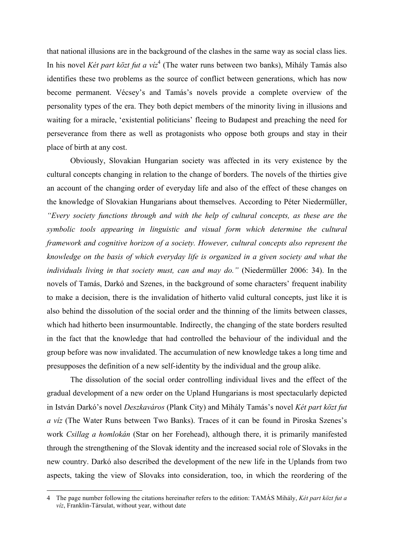that national illusions are in the background of the clashes in the same way as social class lies. In his novel *Két part közt fut a víz*<sup>4</sup> (The water runs between two banks), Mihály Tamás also identifies these two problems as the source of conflict between generations, which has now become permanent. Vécsey's and Tamás's novels provide a complete overview of the personality types of the era. They both depict members of the minority living in illusions and waiting for a miracle, 'existential politicians' fleeing to Budapest and preaching the need for perseverance from there as well as protagonists who oppose both groups and stay in their place of birth at any cost.

Obviously, Slovakian Hungarian society was affected in its very existence by the cultural concepts changing in relation to the change of borders. The novels of the thirties give an account of the changing order of everyday life and also of the effect of these changes on the knowledge of Slovakian Hungarians about themselves. According to Péter Niedermüller, *"Every society functions through and with the help of cultural concepts, as these are the symbolic tools appearing in linguistic and visual form which determine the cultural framework and cognitive horizon of a society. However, cultural concepts also represent the knowledge on the basis of which everyday life is organized in a given society and what the individuals living in that society must, can and may do."* (Niedermüller 2006: 34). In the novels of Tamás, Darkó and Szenes, in the background of some characters' frequent inability to make a decision, there is the invalidation of hitherto valid cultural concepts, just like it is also behind the dissolution of the social order and the thinning of the limits between classes, which had hitherto been insurmountable. Indirectly, the changing of the state borders resulted in the fact that the knowledge that had controlled the behaviour of the individual and the group before was now invalidated. The accumulation of new knowledge takes a long time and presupposes the definition of a new self-identity by the individual and the group alike.

The dissolution of the social order controlling individual lives and the effect of the gradual development of a new order on the Upland Hungarians is most spectacularly depicted in István Darkó's novel *Deszkaváros* (Plank City) and Mihály Tamás's novel *Két part közt fut a víz* (The Water Runs between Two Banks). Traces of it can be found in Piroska Szenes's work *Csillag a homlokán* (Star on her Forehead), although there, it is primarily manifested through the strengthening of the Slovak identity and the increased social role of Slovaks in the new country. Darkó also described the development of the new life in the Uplands from two aspects, taking the view of Slovaks into consideration, too, in which the reordering of the

 

<sup>4</sup> The page number following the citations hereinafter refers to the edition: TAMÁS Mihály, *Két part közt fut a víz*, Franklin-Társulat, without year, without date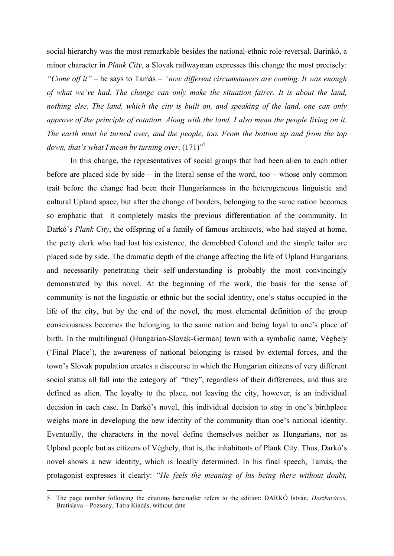social hierarchy was the most remarkable besides the national-ethnic role-reversal. Barinkó, a minor character in *Plank City*, a Slovak railwayman expresses this change the most precisely: *"Come off it"* – he says to Tamás – *"now different circumstances are coming. It was enough of what we've had. The change can only make the situation fairer. It is about the land, nothing else. The land, which the city is built on, and speaking of the land, one can only approve of the principle of rotation. Along with the land, I also mean the people living on it. The earth must be turned over, and the people, too. From the bottom up and from the top*  down, that's what I mean by turning over.  $(171)^{5}$ 

In this change, the representatives of social groups that had been alien to each other before are placed side by side – in the literal sense of the word, too – whose only common trait before the change had been their Hungarianness in the heterogeneous linguistic and cultural Upland space, but after the change of borders, belonging to the same nation becomes so emphatic that it completely masks the previous differentiation of the community. In Darkó's *Plank City*, the offspring of a family of famous architects, who had stayed at home, the petty clerk who had lost his existence, the demobbed Colonel and the simple tailor are placed side by side. The dramatic depth of the change affecting the life of Upland Hungarians and necessarily penetrating their self-understanding is probably the most convincingly demonstrated by this novel. At the beginning of the work, the basis for the sense of community is not the linguistic or ethnic but the social identity, one's status occupied in the life of the city, but by the end of the novel, the most elemental definition of the group consciousness becomes the belonging to the same nation and being loyal to one's place of birth. In the multilingual (Hungarian-Slovak-German) town with a symbolic name, Véghely ('Final Place'), the awareness of national belonging is raised by external forces, and the town's Slovak population creates a discourse in which the Hungarian citizens of very different social status all fall into the category of "they", regardless of their differences, and thus are defined as alien. The loyalty to the place, not leaving the city, however, is an individual decision in each case. In Darkó's novel, this individual decision to stay in one's birthplace weighs more in developing the new identity of the community than one's national identity. Eventually, the characters in the novel define themselves neither as Hungarians, nor as Upland people but as citizens of Véghely, that is, the inhabitants of Plank City. Thus, Darkó's novel shows a new identity, which is locally determined. In his final speech, Tamás, the protagonist expresses it clearly: *"He feels the meaning of his being there without doubt,* 

 

<sup>5</sup> The page number following the citations hereinafter refers to the edition: DARKÓ István, *Deszkaváros*, Bratislava – Pozsony, Tátra Kiadás, without date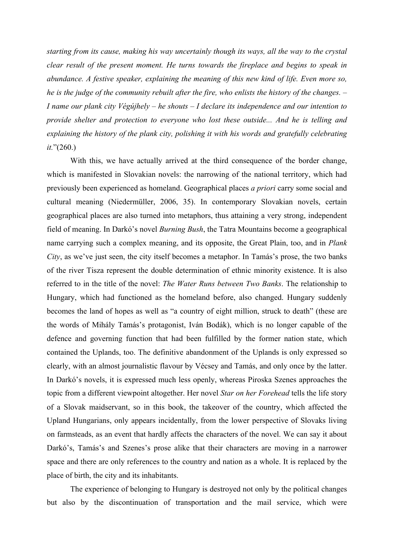*starting from its cause, making his way uncertainly though its ways, all the way to the crystal clear result of the present moment. He turns towards the fireplace and begins to speak in abundance. A festive speaker, explaining the meaning of this new kind of life. Even more so, he is the judge of the community rebuilt after the fire, who enlists the history of the changes. – I name our plank city Végújhely – he shouts – I declare its independence and our intention to provide shelter and protection to everyone who lost these outside... And he is telling and explaining the history of the plank city, polishing it with his words and gratefully celebrating it.*"(260.)

With this, we have actually arrived at the third consequence of the border change, which is manifested in Slovakian novels: the narrowing of the national territory, which had previously been experienced as homeland. Geographical places *a priori* carry some social and cultural meaning (Niedermüller, 2006, 35). In contemporary Slovakian novels, certain geographical places are also turned into metaphors, thus attaining a very strong, independent field of meaning. In Darkó's novel *Burning Bush*, the Tatra Mountains become a geographical name carrying such a complex meaning, and its opposite, the Great Plain, too, and in *Plank City*, as we've just seen, the city itself becomes a metaphor. In Tamás's prose, the two banks of the river Tisza represent the double determination of ethnic minority existence. It is also referred to in the title of the novel: *The Water Runs between Two Banks*. The relationship to Hungary, which had functioned as the homeland before, also changed. Hungary suddenly becomes the land of hopes as well as "a country of eight million, struck to death" (these are the words of Mihály Tamás's protagonist, Iván Bodák), which is no longer capable of the defence and governing function that had been fulfilled by the former nation state, which contained the Uplands, too. The definitive abandonment of the Uplands is only expressed so clearly, with an almost journalistic flavour by Vécsey and Tamás, and only once by the latter. In Darkó's novels, it is expressed much less openly, whereas Piroska Szenes approaches the topic from a different viewpoint altogether. Her novel *Star on her Forehead* tells the life story of a Slovak maidservant, so in this book, the takeover of the country, which affected the Upland Hungarians, only appears incidentally, from the lower perspective of Slovaks living on farmsteads, as an event that hardly affects the characters of the novel. We can say it about Darkó's, Tamás's and Szenes's prose alike that their characters are moving in a narrower space and there are only references to the country and nation as a whole. It is replaced by the place of birth, the city and its inhabitants.

The experience of belonging to Hungary is destroyed not only by the political changes but also by the discontinuation of transportation and the mail service, which were